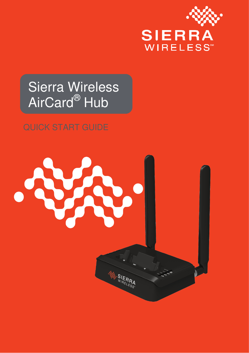

## Sierra Wireless AirCard<sup>®</sup> Hub

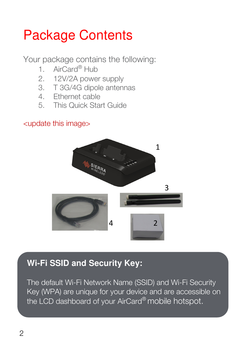## Package Contents

Your package contains the following:

- 1. AirCard® Hub
- 2. 12V/2A power supply
- 3. T 3G/4G dipole antennas
- 4. Ethernet cable
- 5. This Quick Start Guide

#### <update this image>



#### **Wi-Fi SSID and Security Key:**

The default Wi-Fi Network Name (SSID) and Wi-Fi Security Key (WPA) are unique for your device and are accessible on the LCD dashboard of your AirCard<sup>®</sup> mobile hotspot.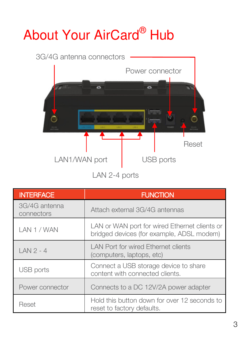## About Your AirCard® Hub



LAN 2-4 ports

| <b>INTERFACE</b>            | <b>FUNCTION</b>                                                                            |
|-----------------------------|--------------------------------------------------------------------------------------------|
| 3G/4G antenna<br>connectors | Attach external 3G/4G antennas                                                             |
| I AN 1 / WAN                | LAN or WAN port for wired Ethernet clients or<br>bridged devices (for example, ADSL modem) |
| $IAN2 - 4$                  | I AN Port for wired Ethernet clients<br>(computers, laptops, etc)                          |
| USB ports                   | Connect a USB storage device to share<br>content with connected clients.                   |
| Power connector             | Connects to a DC 12V/2A power adapter                                                      |
| Reset                       | Hold this button down for over 12 seconds to<br>reset to factory defaults.                 |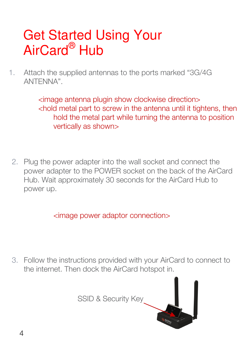## Get Started Using Your AirCard<sup>®</sup> Hub

1. Attach the supplied antennas to the ports marked "3G/4G ANTENNA".

> <image antenna plugin show clockwise direction> <hold metal part to screw in the antenna until it tightens, then hold the metal part while turning the antenna to position vertically as shown>

2. Plug the power adapter into the wall socket and connect the power adapter to the POWER socket on the back of the AirCard Hub. Wait approximately 30 seconds for the AirCard Hub to power up.

<image power adaptor connection>

3. Follow the instructions provided with your AirCard to connect to the internet. Then dock the AirCard hotspot in.

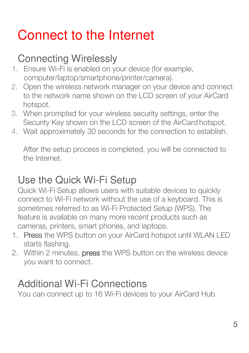## Connect to the Internet

### Connecting Wirelessly

- 1. Ensure Wi-Fi is enabled on your device (for example, computer/laptop/smartphone/printer/camera).
- 2. Open the wireless network manager on your device and connect to the network name shown on the LCD screen of your AirCard hotspot.
- 3. When prompted for your wireless security settings, enter the Security Key shown on the LCD screen of the AirCard hotspot.
- 4. Wait approximately 30 seconds for the connection to establish.

After the setup process is completed, you will be connected to the Internet.

#### Use the Quick Wi-Fi Setup

Quick Wi-Fi Setup allows users with suitable devices to quickly connect to Wi-Fi network without the use of a keyboard. This is sometimes referred to as Wi-Fi Protected Setup (WPS). The feature is available on many more recent products such as cameras, printers, smart phones, and laptops.

- 1. Press the WPS button on your AirCard hotspot until WLAN LED starts flashing.
- 2. Within 2 minutes, **press** the WPS button on the wireless device you want to connect.

#### Additional Wi-Fi Connections

You can connect up to 16 Wi-Fi devices to your AirCard Hub.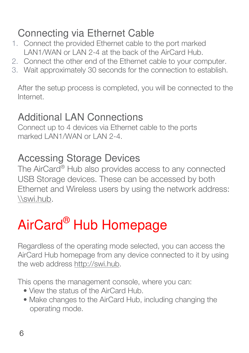#### Connecting via Ethernet Cable

- 1. Connect the provided Ethernet cable to the port marked LAN1/WAN or LAN 2-4 at the back of the AirCard Hub.
- 2. Connect the other end of the Ethernet cable to your computer.
- 3. Wait approximately 30 seconds for the connection to establish.

After the setup process is completed, you will be connected to the Internet.

#### Additional LAN Connections

Connect up to 4 devices via Ethernet cable to the ports marked LAN1/WAN or LAN 2-4

#### Accessing Storage Devices

The AirCard® Hub also provides access to any connected USB Storage devices. These can be accessed by both Ethernet and Wireless users by using the network address: \\swi.hub.

## AirCard® Hub Homepage

Regardless of the operating mode selected, you can access the AirCard Hub homepage from any device connected to it by using the web address http://swi.hub.

This opens the management console, where you can:

- View the status of the AirCard Hub.
- Make changes to the AirCard Hub, including changing the operating mode.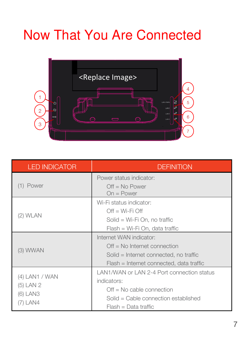## Now That You Are Connected



| I ED INDICATOR                                        | DEFINITION                                                                                                                                                     |
|-------------------------------------------------------|----------------------------------------------------------------------------------------------------------------------------------------------------------------|
| (1) Power                                             | Power status indicator:<br>$Off = No Power$<br>н<br>$On = Power$<br>н                                                                                          |
| (2) WLAN                                              | Wi-Fi status indicator:<br>$Off = Wi-Fi$ Off<br>н<br>Solid = Wi-Fi On, no traffic<br>н<br>Flash = Wi-Fi On, data traffic<br>н                                  |
| (3) WWAN                                              | Internet WAN indicator:<br>$Off = No$ Internet connection<br>н<br>Solid = Internet connected, no traffic<br>н<br>Flash = Internet connected, data traffic<br>н |
| (4) LAN1 / WAN<br>(5) LAN 2<br>$(6)$ LAN3<br>(7) LAN4 | LAN1/WAN or LAN 2-4 Port connection status<br>indicators:<br>$Off = No$ cable connection<br>Solid = Cable connection established<br>H<br>Flash = Data traffic  |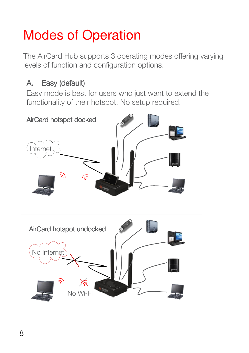## Modes of Operation

The AirCard Hub supports 3 operating modes offering varying levels of function and configuration options.

#### A. Easy (default)

Easy mode is best for users who just want to extend the functionality of their hotspot. No setup required.

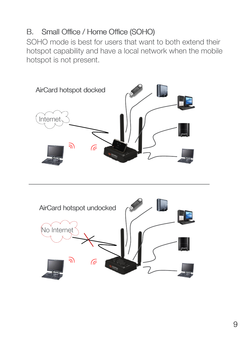#### B. Small Office / Home Office (SOHO)

j

SOHO mode is best for users that want to both extend their hotspot capability and have a local network when the mobile hotspot is not present.



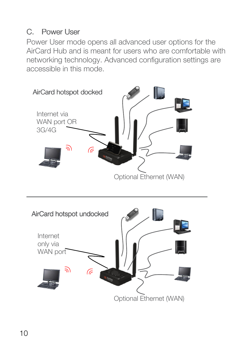#### C. Power User

Power User mode opens all advanced user options for the AirCard Hub and is meant for users who are comfortable with networking technology. Advanced configuration settings are accessible in this mode.



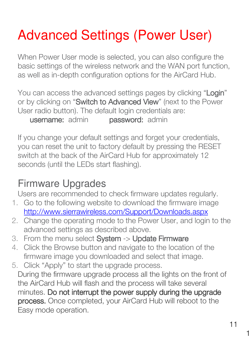## Advanced Settings (Power User)

When Power User mode is selected, you can also configure the basic settings of the wireless network and the WAN port function, as well as in-depth configuration options for the AirCard Hub.

You can access the advanced settings pages by clicking "Login" or by clicking on "Switch to Advanced View" (next to the Power User radio button). The default login credentials are: username: admin **password: admin** 

If you change your default settings and forget your credentials, you can reset the unit to factory default by pressing the RESET switch at the back of the AirCard Hub for approximately 12 seconds (until the LEDs start flashing).

#### Firmware Upgrades

Users are recommended to check firmware updates regularly.

- 1. Go to the following website to download the firmware image http://www.sierrawireless.com/Support/Downloads.aspx
- 2. Change the operating mode to the Power User, and login to the advanced settings as described above.
- 3. From the menu select System -> Update Firmware
- 4. Click the Browse button and navigate to the location of the firmware image you downloaded and select that image.
- 5. Click "Apply" to start the upgrade process. During the firmware upgrade process all the lights on the front of the AirCard Hub will flash and the process will take several minutes. Do not interrupt the power supply during the upgrade process. Once completed, your AirCard Hub will reboot to the Easy mode operation.

11